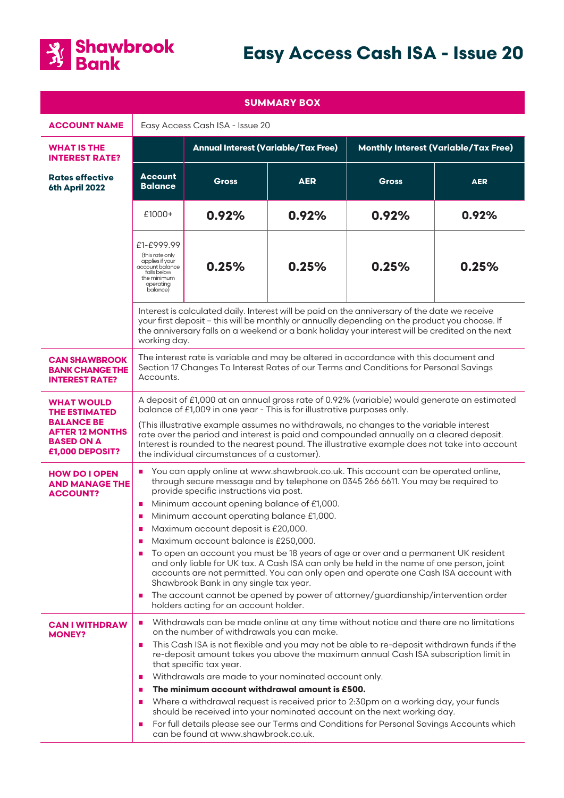

# **Easy Access Cash ISA - Issue 20**

| <b>SUMMARY BOX</b>                                                                                                               |                                                                                                                                                                                                                                                                                                                                                                                                                                                                                                                                                                                                                                                                                                                                                                                                                                                                      |              |            |                                             |            |
|----------------------------------------------------------------------------------------------------------------------------------|----------------------------------------------------------------------------------------------------------------------------------------------------------------------------------------------------------------------------------------------------------------------------------------------------------------------------------------------------------------------------------------------------------------------------------------------------------------------------------------------------------------------------------------------------------------------------------------------------------------------------------------------------------------------------------------------------------------------------------------------------------------------------------------------------------------------------------------------------------------------|--------------|------------|---------------------------------------------|------------|
| <b>ACCOUNT NAME</b>                                                                                                              | Easy Access Cash ISA - Issue 20                                                                                                                                                                                                                                                                                                                                                                                                                                                                                                                                                                                                                                                                                                                                                                                                                                      |              |            |                                             |            |
| <b>WHAT IS THE</b><br><b>INTEREST RATE?</b>                                                                                      | <b>Annual Interest (Variable/Tax Free)</b>                                                                                                                                                                                                                                                                                                                                                                                                                                                                                                                                                                                                                                                                                                                                                                                                                           |              |            | <b>Monthly Interest (Variable/Tax Free)</b> |            |
| <b>Rates effective</b><br>6th April 2022                                                                                         | <b>Account</b><br><b>Balance</b>                                                                                                                                                                                                                                                                                                                                                                                                                                                                                                                                                                                                                                                                                                                                                                                                                                     | <b>Gross</b> | <b>AER</b> | <b>Gross</b>                                | <b>AER</b> |
|                                                                                                                                  | $£1000+$                                                                                                                                                                                                                                                                                                                                                                                                                                                                                                                                                                                                                                                                                                                                                                                                                                                             | 0.92%        | 0.92%      | 0.92%                                       | 0.92%      |
|                                                                                                                                  | £1-£999.99<br>(this rate only<br>applies if your<br>account balance<br>falls below<br>the minimum<br>operating<br>balance)                                                                                                                                                                                                                                                                                                                                                                                                                                                                                                                                                                                                                                                                                                                                           | 0.25%        | 0.25%      | 0.25%                                       | 0.25%      |
|                                                                                                                                  | Interest is calculated daily. Interest will be paid on the anniversary of the date we receive<br>your first deposit - this will be monthly or annually depending on the product you choose. If<br>the anniversary falls on a weekend or a bank holiday your interest will be credited on the next<br>working day.                                                                                                                                                                                                                                                                                                                                                                                                                                                                                                                                                    |              |            |                                             |            |
| <b>CAN SHAWBROOK</b><br><b>BANK CHANGE THE</b><br><b>INTEREST RATE?</b>                                                          | The interest rate is variable and may be altered in accordance with this document and<br>Section 17 Changes To Interest Rates of our Terms and Conditions for Personal Savings<br>Accounts.                                                                                                                                                                                                                                                                                                                                                                                                                                                                                                                                                                                                                                                                          |              |            |                                             |            |
| <b>WHAT WOULD</b><br><b>THE ESTIMATED</b><br><b>BALANCE BE</b><br><b>AFTER 12 MONTHS</b><br><b>BASED ON A</b><br>£1,000 DEPOSIT? | A deposit of £1,000 at an annual gross rate of 0.92% (variable) would generate an estimated<br>balance of £1,009 in one year - This is for illustrative purposes only.<br>(This illustrative example assumes no withdrawals, no changes to the variable interest<br>rate over the period and interest is paid and compounded annually on a cleared deposit.<br>Interest is rounded to the nearest pound. The illustrative example does not take into account<br>the individual circumstances of a customer).                                                                                                                                                                                                                                                                                                                                                         |              |            |                                             |            |
| <b>HOW DO I OPEN</b><br><b>AND MANAGE THE</b><br><b>ACCOUNT?</b>                                                                 | You can apply online at www.shawbrook.co.uk. This account can be operated online,<br>п<br>through secure message and by telephone on 0345 266 6611. You may be required to<br>provide specific instructions via post.<br>Minimum account opening balance of £1,000.<br>Minimum account operating balance £1,000.<br>Maximum account deposit is £20,000.<br>п<br>Maximum account balance is £250,000.<br>п<br>To open an account you must be 18 years of age or over and a permanent UK resident<br>п<br>and only liable for UK tax. A Cash ISA can only be held in the name of one person, joint<br>accounts are not permitted. You can only open and operate one Cash ISA account with<br>Shawbrook Bank in any single tax year.<br>The account cannot be opened by power of attorney/guardianship/intervention order<br>п<br>holders acting for an account holder. |              |            |                                             |            |
| <b>CAN I WITHDRAW</b><br><b>MONEY?</b>                                                                                           | Withdrawals can be made online at any time without notice and there are no limitations<br>п<br>on the number of withdrawals you can make.<br>This Cash ISA is not flexible and you may not be able to re-deposit withdrawn funds if the<br>п<br>re-deposit amount takes you above the maximum annual Cash ISA subscription limit in<br>that specific tax year.<br>Withdrawals are made to your nominated account only.<br>п<br>The minimum account withdrawal amount is £500.<br>п<br>Where a withdrawal request is received prior to 2:30pm on a working day, your funds<br>п<br>should be received into your nominated account on the next working day.<br>For full details please see our Terms and Conditions for Personal Savings Accounts which<br>п<br>can be found at www.shawbrook.co.uk.                                                                   |              |            |                                             |            |